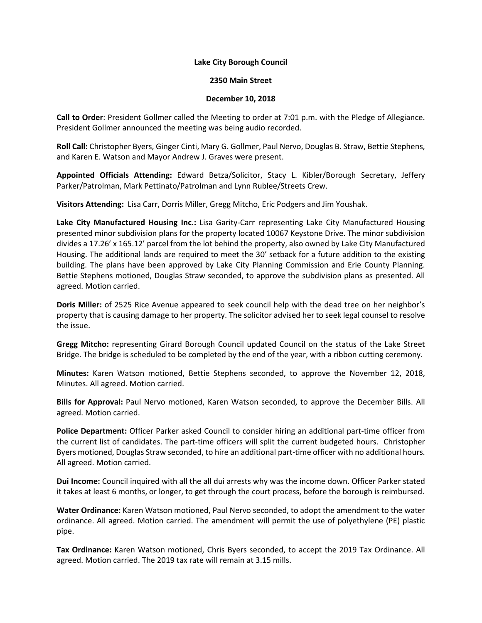## **Lake City Borough Council**

## **2350 Main Street**

## **December 10, 2018**

**Call to Order**: President Gollmer called the Meeting to order at 7:01 p.m. with the Pledge of Allegiance. President Gollmer announced the meeting was being audio recorded.

**Roll Call:** Christopher Byers, Ginger Cinti, Mary G. Gollmer, Paul Nervo, Douglas B. Straw, Bettie Stephens, and Karen E. Watson and Mayor Andrew J. Graves were present.

**Appointed Officials Attending:** Edward Betza/Solicitor, Stacy L. Kibler/Borough Secretary, Jeffery Parker/Patrolman, Mark Pettinato/Patrolman and Lynn Rublee/Streets Crew.

**Visitors Attending:** Lisa Carr, Dorris Miller, Gregg Mitcho, Eric Podgers and Jim Youshak.

**Lake City Manufactured Housing Inc.:** Lisa Garity-Carr representing Lake City Manufactured Housing presented minor subdivision plans for the property located 10067 Keystone Drive. The minor subdivision divides a 17.26' x 165.12' parcel from the lot behind the property, also owned by Lake City Manufactured Housing. The additional lands are required to meet the 30' setback for a future addition to the existing building. The plans have been approved by Lake City Planning Commission and Erie County Planning. Bettie Stephens motioned, Douglas Straw seconded, to approve the subdivision plans as presented. All agreed. Motion carried.

**Doris Miller:** of 2525 Rice Avenue appeared to seek council help with the dead tree on her neighbor's property that is causing damage to her property. The solicitor advised her to seek legal counsel to resolve the issue.

**Gregg Mitcho:** representing Girard Borough Council updated Council on the status of the Lake Street Bridge. The bridge is scheduled to be completed by the end of the year, with a ribbon cutting ceremony.

**Minutes:** Karen Watson motioned, Bettie Stephens seconded, to approve the November 12, 2018, Minutes. All agreed. Motion carried.

**Bills for Approval:** Paul Nervo motioned, Karen Watson seconded, to approve the December Bills. All agreed. Motion carried.

**Police Department:** Officer Parker asked Council to consider hiring an additional part-time officer from the current list of candidates. The part-time officers will split the current budgeted hours. Christopher Byers motioned, Douglas Straw seconded, to hire an additional part-time officer with no additional hours. All agreed. Motion carried.

**Dui Income:** Council inquired with all the all dui arrests why was the income down. Officer Parker stated it takes at least 6 months, or longer, to get through the court process, before the borough is reimbursed.

**Water Ordinance:** Karen Watson motioned, Paul Nervo seconded, to adopt the amendment to the water ordinance. All agreed. Motion carried. The amendment will permit the use of polyethylene (PE) plastic pipe.

**Tax Ordinance:** Karen Watson motioned, Chris Byers seconded, to accept the 2019 Tax Ordinance. All agreed. Motion carried. The 2019 tax rate will remain at 3.15 mills.